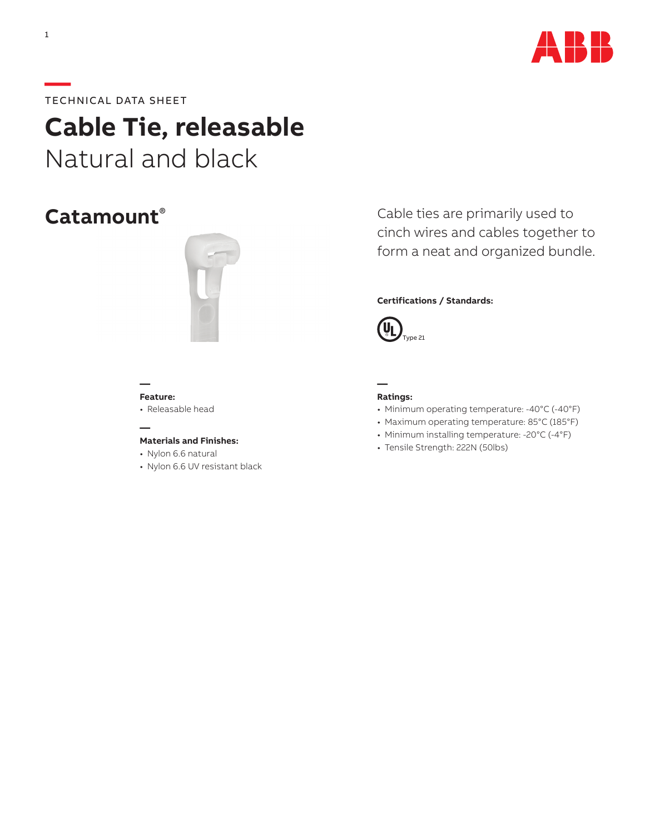

# **—**TECHNICAL DATA SHEET

**Cable Tie, releasable**  Natural and black

# **Catamount**®



Cable ties are primarily used to cinch wires and cables together to form a neat and organized bundle.

# **Certifications / Standards:**



### **— Feature:**

• Releasable head

# **—**

- **Materials and Finishes:**
- Nylon 6.6 natural
- Nylon 6.6 UV resistant black

## **Ratings:**

**—**

- Minimum operating temperature: -40°C (-40°F)
- Maximum operating temperature: 85°C (185°F)
- Minimum installing temperature: -20°C (-4°F)
- Tensile Strength: 222N (50lbs)